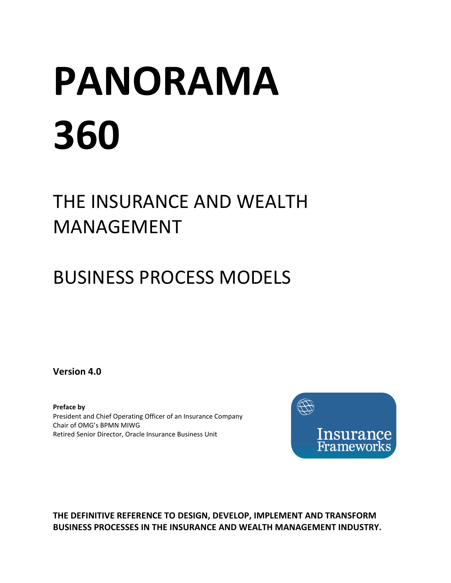# **PANORAMA 360**

## THE INSURANCE AND WEALTH MANAGEMENT

## BUSINESS PROCESS MODELS

**Version 4.0**

**Preface by** President and Chief Operating Officer of an Insurance Company Chair of OMG's BPMN MIWG Retired Senior Director, Oracle Insurance Business Unit



**THE DEFINITIVE REFERENCE TO DESIGN, DEVELOP, IMPLEMENT AND TRANSFORM BUSINESS PROCESSES IN THE INSURANCE AND WEALTH MANAGEMENT INDUSTRY.**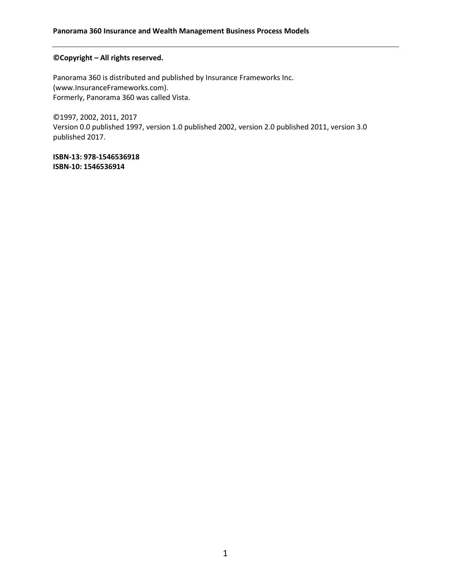#### **©Copyright – All rights reserved.**

Panorama 360 is distributed and published by Insurance Frameworks Inc. (www.InsuranceFrameworks.com). Formerly, Panorama 360 was called Vista.

©1997, 2002, 2011, 2017 Version 0.0 published 1997, version 1.0 published 2002, version 2.0 published 2011, version 3.0 published 2017.

**ISBN-13: 978-1546536918 ISBN-10: 1546536914**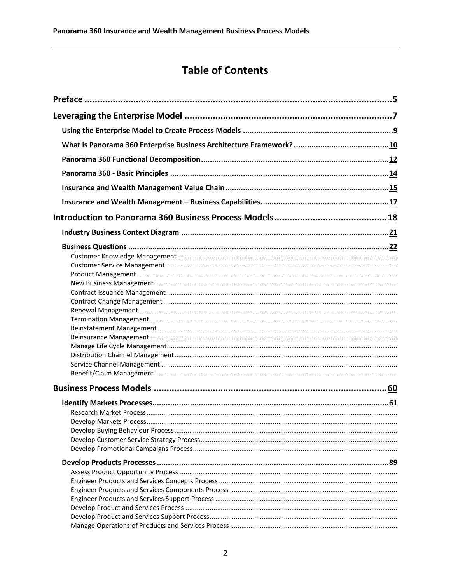#### **Table of Contents**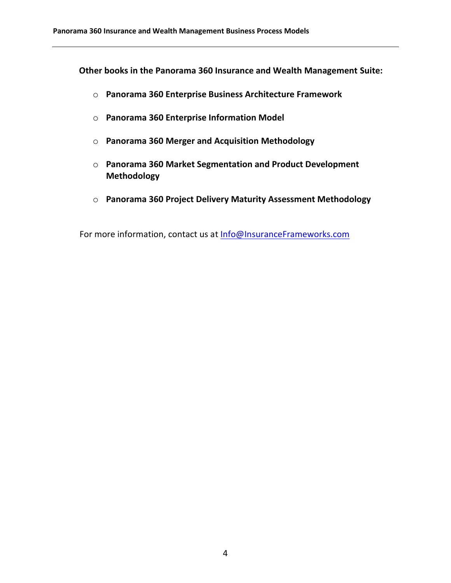**Other books in the Panorama 360 Insurance and Wealth Management Suite:**

- o **Panorama 360 Enterprise Business Architecture Framework**
- o **Panorama 360 Enterprise Information Model**
- o **Panorama 360 Merger and Acquisition Methodology**
- o **Panorama 360 Market Segmentation and Product Development Methodology**
- o **Panorama 360 Project Delivery Maturity Assessment Methodology**

For more information, contact us at [Info@InsuranceFrameworks.com](mailto:Info@InsuranceFrameworks.com)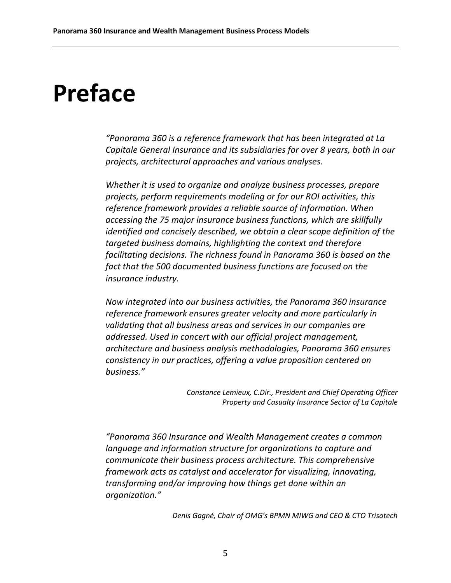## <span id="page-5-0"></span>**Preface**

*"Panorama 360 is a reference framework that has been integrated at La Capitale General Insurance and its subsidiaries for over 8 years, both in our projects, architectural approaches and various analyses.*

*Whether it is used to organize and analyze business processes, prepare projects, perform requirements modeling or for our ROI activities, this reference framework provides a reliable source of information. When accessing the 75 major insurance business functions, which are skillfully identified and concisely described, we obtain a clear scope definition of the targeted business domains, highlighting the context and therefore facilitating decisions. The richness found in Panorama 360 is based on the fact that the 500 documented business functions are focused on the insurance industry.*

*Now integrated into our business activities, the Panorama 360 insurance reference framework ensures greater velocity and more particularly in validating that all business areas and services in our companies are addressed. Used in concert with our official project management, architecture and business analysis methodologies, Panorama 360 ensures consistency in our practices, offering a value proposition centered on business."*

> *Constance Lemieux, C.Dir., President and Chief Operating Officer Property and Casualty Insurance Sector of La Capitale*

*"Panorama 360 Insurance and Wealth Management creates a common language and information structure for organizations to capture and communicate their business process architecture. This comprehensive framework acts as catalyst and accelerator for visualizing, innovating, transforming and/or improving how things get done within an organization."*

*Denis Gagné, Chair of OMG's BPMN MIWG and CEO & CTO Trisotech*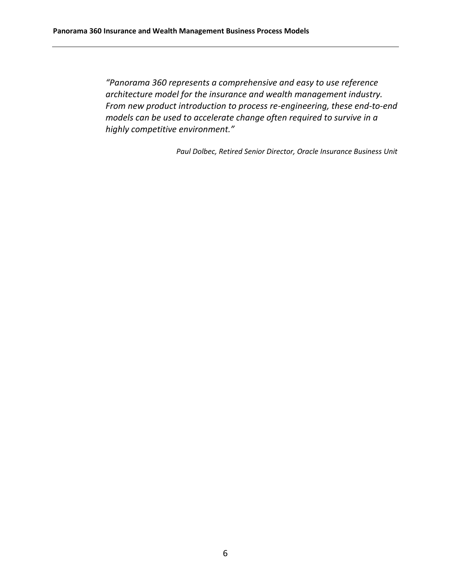*"Panorama 360 represents a comprehensive and easy to use reference architecture model for the insurance and wealth management industry. From new product introduction to process re-engineering, these end-to-end models can be used to accelerate change often required to survive in a highly competitive environment."*

*Paul Dolbec, Retired Senior Director, Oracle Insurance Business Unit*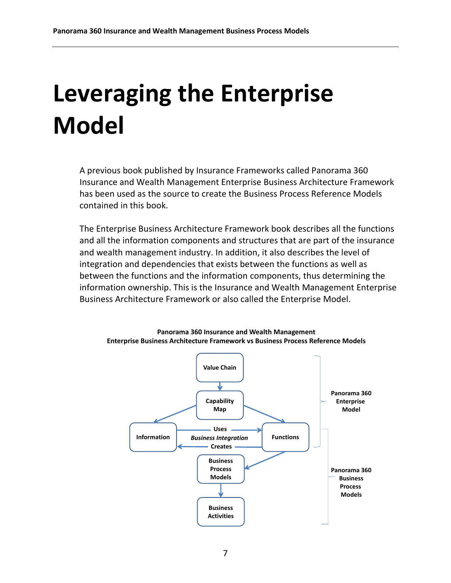# <span id="page-7-0"></span>**Leveraging the Enterprise Model**

A previous book published by Insurance Frameworks called Panorama 360 Insurance and Wealth Management Enterprise Business Architecture Framework has been used as the source to create the Business Process Reference Models contained in this book.

The Enterprise Business Architecture Framework book describes all the functions and all the information components and structures that are part of the insurance and wealth management industry. In addition, it also describes the level of integration and dependencies that exists between the functions as well as between the functions and the information components, thus determining the information ownership. This is the Insurance and Wealth Management Enterprise Business Architecture Framework or also called the Enterprise Model.

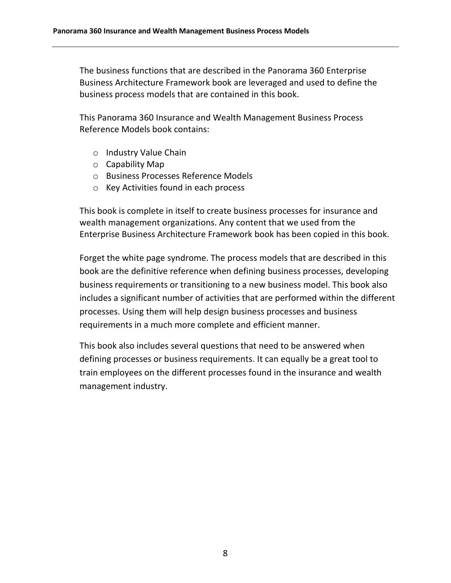The business functions that are described in the Panorama 360 Enterprise Business Architecture Framework book are leveraged and used to define the business process models that are contained in this book.

This Panorama 360 Insurance and Wealth Management Business Process Reference Models book contains:

- o Industry Value Chain
- o Capability Map
- o Business Processes Reference Models
- o Key Activities found in each process

This book is complete in itself to create business processes for insurance and wealth management organizations. Any content that we used from the Enterprise Business Architecture Framework book has been copied in this book.

Forget the white page syndrome. The process models that are described in this book are the definitive reference when defining business processes, developing business requirements or transitioning to a new business model. This book also includes a significant number of activities that are performed within the different processes. Using them will help design business processes and business requirements in a much more complete and efficient manner.

This book also includes several questions that need to be answered when defining processes or business requirements. It can equally be a great tool to train employees on the different processes found in the insurance and wealth management industry.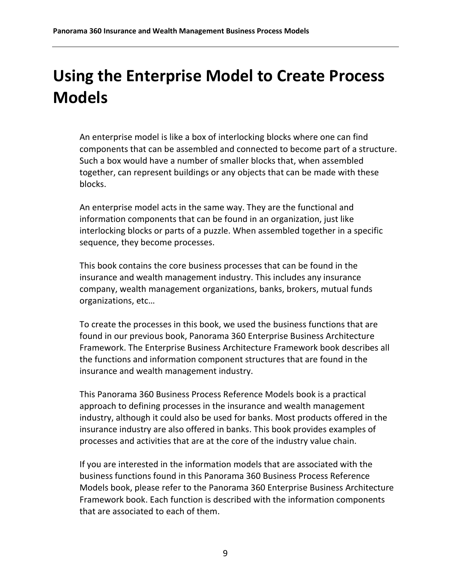### <span id="page-9-0"></span>**Using the Enterprise Model to Create Process Models**

An enterprise model is like a box of interlocking blocks where one can find components that can be assembled and connected to become part of a structure. Such a box would have a number of smaller blocks that, when assembled together, can represent buildings or any objects that can be made with these blocks.

An enterprise model acts in the same way. They are the functional and information components that can be found in an organization, just like interlocking blocks or parts of a puzzle. When assembled together in a specific sequence, they become processes.

This book contains the core business processes that can be found in the insurance and wealth management industry. This includes any insurance company, wealth management organizations, banks, brokers, mutual funds organizations, etc…

To create the processes in this book, we used the business functions that are found in our previous book, Panorama 360 Enterprise Business Architecture Framework. The Enterprise Business Architecture Framework book describes all the functions and information component structures that are found in the insurance and wealth management industry.

This Panorama 360 Business Process Reference Models book is a practical approach to defining processes in the insurance and wealth management industry, although it could also be used for banks. Most products offered in the insurance industry are also offered in banks. This book provides examples of processes and activities that are at the core of the industry value chain.

If you are interested in the information models that are associated with the business functions found in this Panorama 360 Business Process Reference Models book, please refer to the Panorama 360 Enterprise Business Architecture Framework book. Each function is described with the information components that are associated to each of them.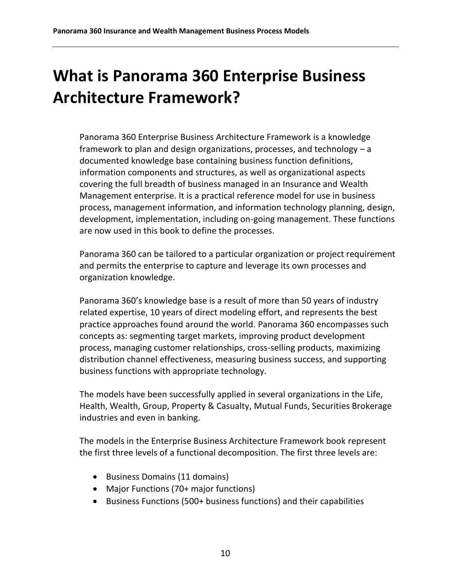## <span id="page-10-0"></span>**What is Panorama 360 Enterprise Business Architecture Framework?**

Panorama 360 Enterprise Business Architecture Framework is a knowledge framework to plan and design organizations, processes, and technology – a documented knowledge base containing business function definitions, information components and structures, as well as organizational aspects covering the full breadth of business managed in an Insurance and Wealth Management enterprise. It is a practical reference model for use in business process, management information, and information technology planning, design, development, implementation, including on-going management. These functions are now used in this book to define the processes.

Panorama 360 can be tailored to a particular organization or project requirement and permits the enterprise to capture and leverage its own processes and organization knowledge.

Panorama 360's knowledge base is a result of more than 50 years of industry related expertise, 10 years of direct modeling effort, and represents the best practice approaches found around the world. Panorama 360 encompasses such concepts as: segmenting target markets, improving product development process, managing customer relationships, cross-selling products, maximizing distribution channel effectiveness, measuring business success, and supporting business functions with appropriate technology.

The models have been successfully applied in several organizations in the Life, Health, Wealth, Group, Property & Casualty, Mutual Funds, Securities Brokerage industries and even in banking.

The models in the Enterprise Business Architecture Framework book represent the first three levels of a functional decomposition. The first three levels are:

- Business Domains (11 domains)
- Major Functions (70+ major functions)
- Business Functions (500+ business functions) and their capabilities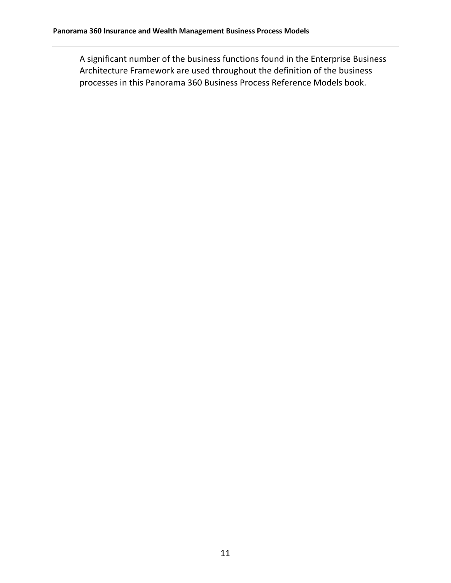A significant number of the business functions found in the Enterprise Business Architecture Framework are used throughout the definition of the business processes in this Panorama 360 Business Process Reference Models book.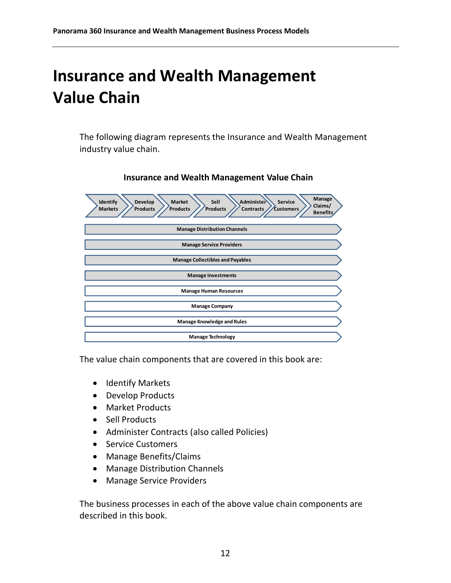#### <span id="page-12-0"></span>**Insurance and Wealth Management Value Chain**

The following diagram represents the Insurance and Wealth Management industry value chain.

| <b>Manage</b><br>Develop<br><b>Market</b><br>Sell<br>Administer<br>Identify<br><b>Service</b><br>Claims/<br><b>Products</b><br><b>Markets</b><br><b>Products</b><br>Products<br><b>Contracts</b><br><b>Customers</b><br><b>Benefits</b> |
|-----------------------------------------------------------------------------------------------------------------------------------------------------------------------------------------------------------------------------------------|
| <b>Manage Distribution Channels</b>                                                                                                                                                                                                     |
| <b>Manage Service Providers</b>                                                                                                                                                                                                         |
| <b>Manage Collectibles and Payables</b>                                                                                                                                                                                                 |
| <b>Manage Investments</b>                                                                                                                                                                                                               |
| <b>Manage Human Resources</b>                                                                                                                                                                                                           |
| <b>Manage Company</b>                                                                                                                                                                                                                   |
| <b>Manage Knowledge and Rules</b>                                                                                                                                                                                                       |
| <b>Manage Technology</b>                                                                                                                                                                                                                |

#### **Insurance and Wealth Management Value Chain**

The value chain components that are covered in this book are:

- Identify Markets
- Develop Products
- Market Products
- Sell Products
- Administer Contracts (also called Policies)
- Service Customers
- Manage Benefits/Claims
- Manage Distribution Channels
- Manage Service Providers

The business processes in each of the above value chain components are described in this book.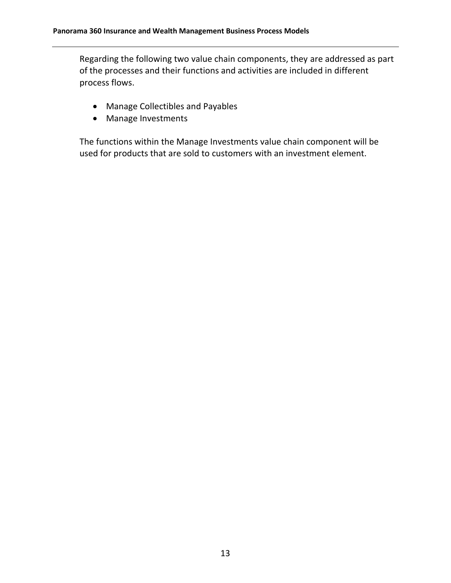Regarding the following two value chain components, they are addressed as part of the processes and their functions and activities are included in different process flows.

- Manage Collectibles and Payables
- Manage Investments

The functions within the Manage Investments value chain component will be used for products that are sold to customers with an investment element.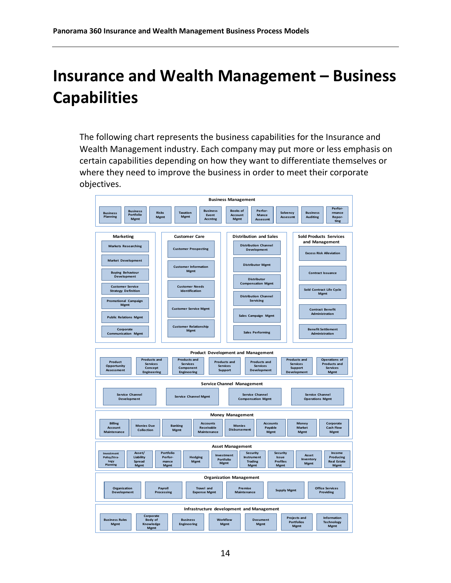### <span id="page-14-0"></span>**Insurance and Wealth Management – Business Capabilities**

The following chart represents the business capabilities for the Insurance and Wealth Management industry. Each company may put more or less emphasis on certain capabilities depending on how they want to differentiate themselves or where they need to improve the business in order to meet their corporate objectives.

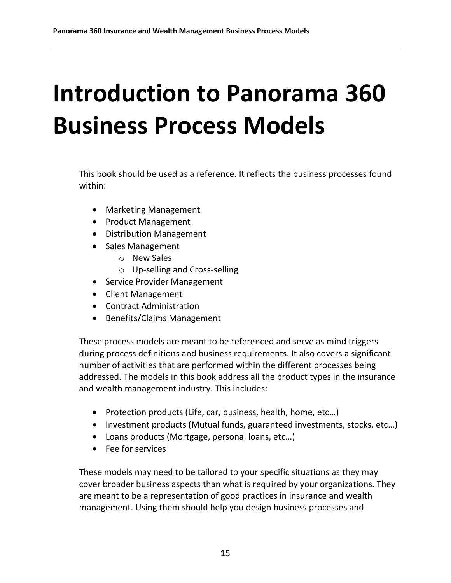# <span id="page-15-0"></span>**Introduction to Panorama 360 Business Process Models**

This book should be used as a reference. It reflects the business processes found within:

- Marketing Management
- Product Management
- Distribution Management
- Sales Management
	- o New Sales
	- o Up-selling and Cross-selling
- Service Provider Management
- Client Management
- Contract Administration
- Benefits/Claims Management

These process models are meant to be referenced and serve as mind triggers during process definitions and business requirements. It also covers a significant number of activities that are performed within the different processes being addressed. The models in this book address all the product types in the insurance and wealth management industry. This includes:

- Protection products (Life, car, business, health, home, etc...)
- Investment products (Mutual funds, guaranteed investments, stocks, etc...)
- Loans products (Mortgage, personal loans, etc…)
- Fee for services

These models may need to be tailored to your specific situations as they may cover broader business aspects than what is required by your organizations. They are meant to be a representation of good practices in insurance and wealth management. Using them should help you design business processes and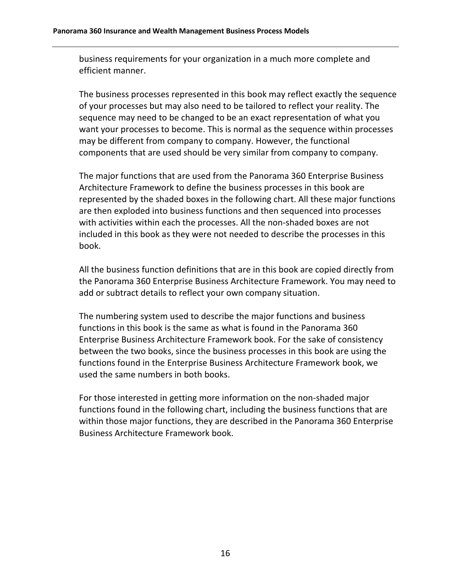business requirements for your organization in a much more complete and efficient manner.

The business processes represented in this book may reflect exactly the sequence of your processes but may also need to be tailored to reflect your reality. The sequence may need to be changed to be an exact representation of what you want your processes to become. This is normal as the sequence within processes may be different from company to company. However, the functional components that are used should be very similar from company to company.

The major functions that are used from the Panorama 360 Enterprise Business Architecture Framework to define the business processes in this book are represented by the shaded boxes in the following chart. All these major functions are then exploded into business functions and then sequenced into processes with activities within each the processes. All the non-shaded boxes are not included in this book as they were not needed to describe the processes in this book.

All the business function definitions that are in this book are copied directly from the Panorama 360 Enterprise Business Architecture Framework. You may need to add or subtract details to reflect your own company situation.

The numbering system used to describe the major functions and business functions in this book is the same as what is found in the Panorama 360 Enterprise Business Architecture Framework book. For the sake of consistency between the two books, since the business processes in this book are using the functions found in the Enterprise Business Architecture Framework book, we used the same numbers in both books.

For those interested in getting more information on the non-shaded major functions found in the following chart, including the business functions that are within those major functions, they are described in the Panorama 360 Enterprise Business Architecture Framework book.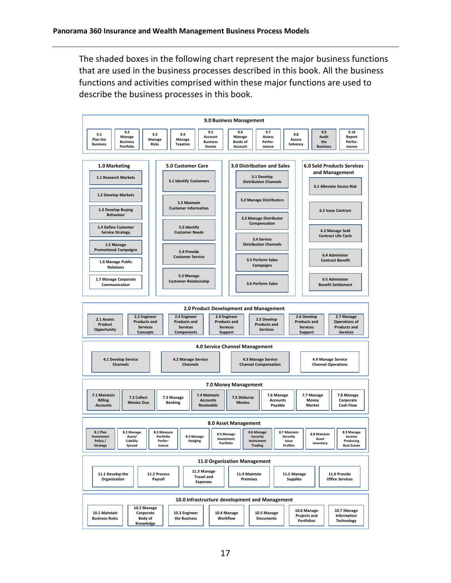The shaded boxes in the following chart represent the major business functions that are used in the business processes described in this book. All the business functions and activities comprised within these major functions are used to describe the business processes in this book.

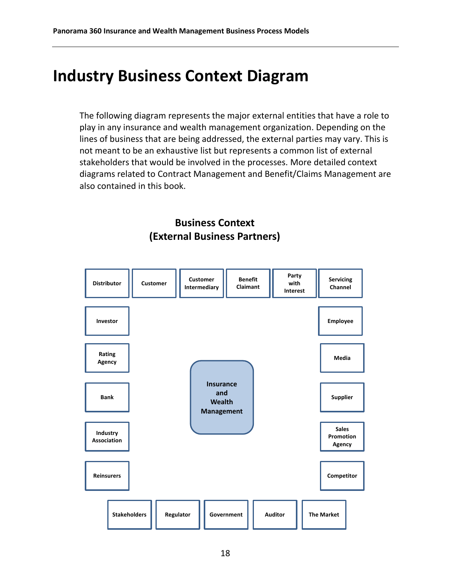#### <span id="page-18-0"></span>**Industry Business Context Diagram**

The following diagram represents the major external entities that have a role to play in any insurance and wealth management organization. Depending on the lines of business that are being addressed, the external parties may vary. This is not meant to be an exhaustive list but represents a common list of external stakeholders that would be involved in the processes. More detailed context diagrams related to Contract Management and Benefit/Claims Management are also contained in this book.

#### **Business Context (External Business Partners)**